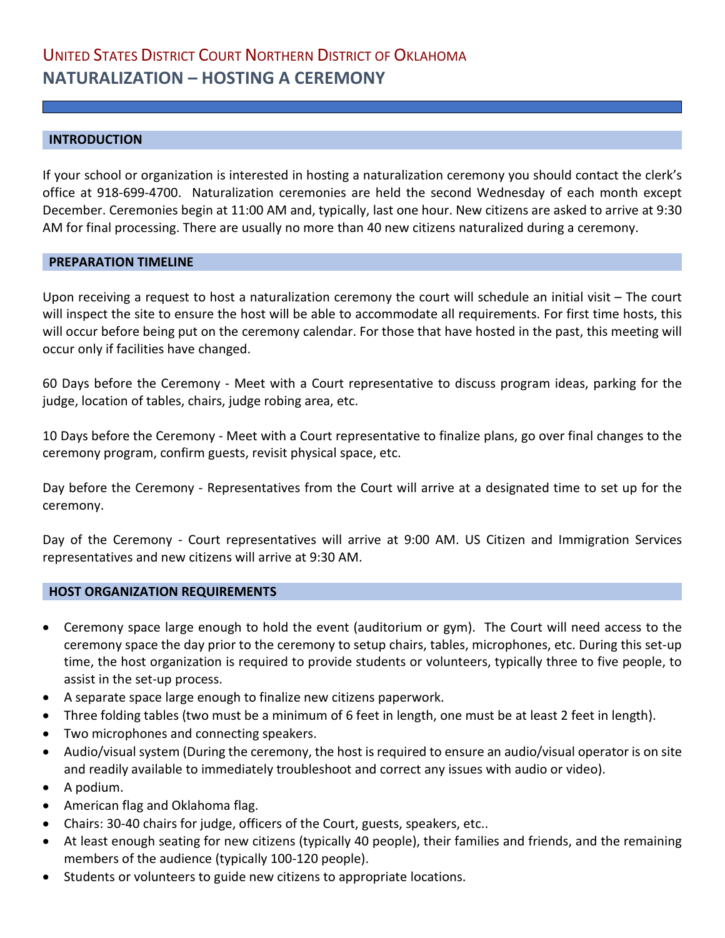# **INTRODUCTION**

If your school or organization is interested in hosting a naturalization ceremony you should contact the clerk's office at 918-699-4700. Naturalization ceremonies are held the second Wednesday of each month except December. Ceremonies begin at 11:00 AM and, typically, last one hour. New citizens are asked to arrive at 9:30 AM for final processing. There are usually no more than 40 new citizens naturalized during a ceremony.

### **PREPARATION TIMELINE**

Upon receiving a request to host a naturalization ceremony the court will schedule an initial visit – The court will inspect the site to ensure the host will be able to accommodate all requirements. For first time hosts, this will occur before being put on the ceremony calendar. For those that have hosted in the past, this meeting will occur only if facilities have changed.

60 Days before the Ceremony - Meet with a Court representative to discuss program ideas, parking for the judge, location of tables, chairs, judge robing area, etc.

10 Days before the Ceremony - Meet with a Court representative to finalize plans, go over final changes to the ceremony program, confirm guests, revisit physical space, etc.

Day before the Ceremony - Representatives from the Court will arrive at a designated time to set up for the ceremony.

Day of the Ceremony - Court representatives will arrive at 9:00 AM. US Citizen and Immigration Services representatives and new citizens will arrive at 9:30 AM.

#### **HOST ORGANIZATION REQUIREMENTS**

- Ceremony space large enough to hold the event (auditorium or gym). The Court will need access to the ceremony space the day prior to the ceremony to setup chairs, tables, microphones, etc. During this set-up time, the host organization is required to provide students or volunteers, typically three to five people, to assist in the set-up process.
- A separate space large enough to finalize new citizens paperwork.
- Three folding tables (two must be a minimum of 6 feet in length, one must be at least 2 feet in length).
- Two microphones and connecting speakers.
- Audio/visual system (During the ceremony, the host is required to ensure an audio/visual operator is on site and readily available to immediately troubleshoot and correct any issues with audio or video).
- A podium.
- American flag and Oklahoma flag.
- Chairs: 30-40 chairs for judge, officers of the Court, guests, speakers, etc..
- At least enough seating for new citizens (typically 40 people), their families and friends, and the remaining members of the audience (typically 100-120 people).
- Students or volunteers to guide new citizens to appropriate locations.